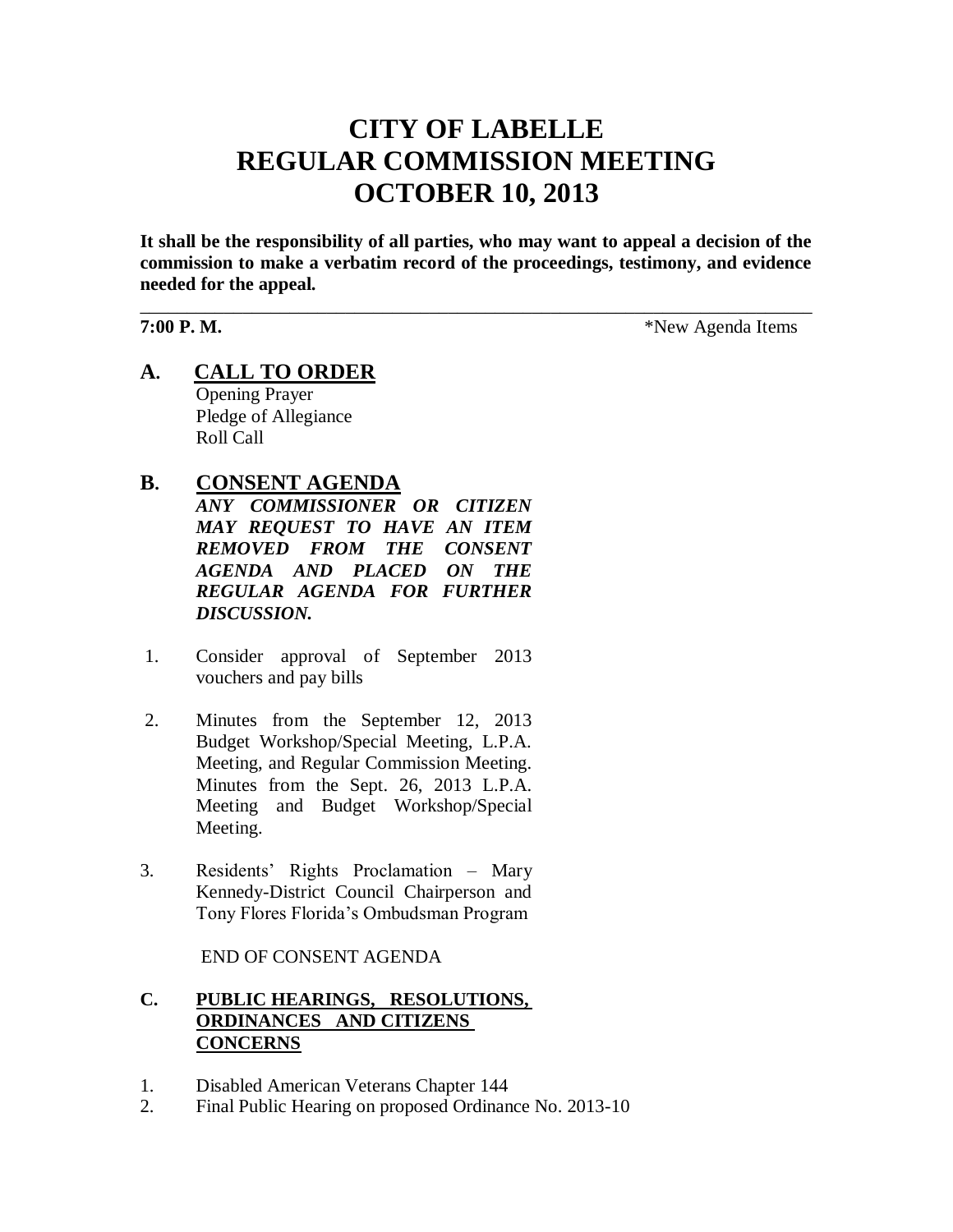# **CITY OF LABELLE REGULAR COMMISSION MEETING OCTOBER 10, 2013**

**It shall be the responsibility of all parties, who may want to appeal a decision of the commission to make a verbatim record of the proceedings, testimony, and evidence needed for the appeal.**

\_\_\_\_\_\_\_\_\_\_\_\_\_\_\_\_\_\_\_\_\_\_\_\_\_\_\_\_\_\_\_\_\_\_\_\_\_\_\_\_\_\_\_\_\_\_\_\_\_\_\_\_\_\_\_\_\_\_\_\_\_\_\_\_\_\_\_\_\_\_\_\_

**7:00 P. M.**  $*$ New Agenda Items

**A. CALL TO ORDER** Opening Prayer

Pledge of Allegiance Roll Call

# **B. CONSENT AGENDA**

*ANY COMMISSIONER OR CITIZEN MAY REQUEST TO HAVE AN ITEM REMOVED FROM THE CONSENT AGENDA AND PLACED ON THE REGULAR AGENDA FOR FURTHER DISCUSSION.*

- 1. Consider approval of September 2013 vouchers and pay bills
- 2. Minutes from the September 12, 2013 Budget Workshop/Special Meeting, L.P.A. Meeting, and Regular Commission Meeting. Minutes from the Sept. 26, 2013 L.P.A. Meeting and Budget Workshop/Special Meeting.
- 3. Residents' Rights Proclamation Mary Kennedy-District Council Chairperson and Tony Flores Florida's Ombudsman Program

END OF CONSENT AGENDA

#### **C. PUBLIC HEARINGS, RESOLUTIONS, ORDINANCES AND CITIZENS CONCERNS**

- 1. Disabled American Veterans Chapter 144
- 2. Final Public Hearing on proposed Ordinance No. 2013-10